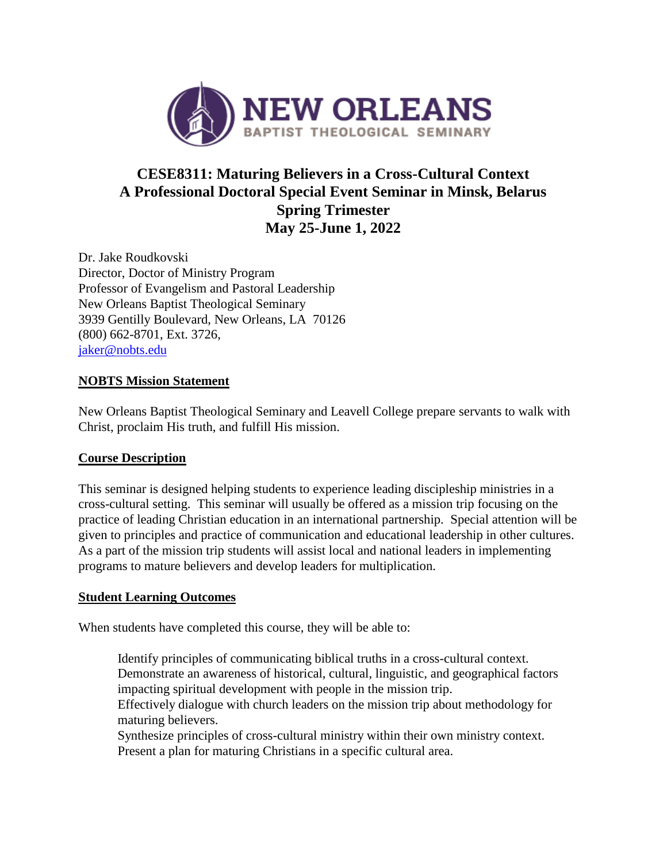

# **CESE8311: Maturing Believers in a Cross-Cultural Context A Professional Doctoral Special Event Seminar in Minsk, Belarus Spring Trimester May 25-June 1, 2022**

Dr. Jake Roudkovski Director, Doctor of Ministry Program Professor of Evangelism and Pastoral Leadership New Orleans Baptist Theological Seminary 3939 Gentilly Boulevard, New Orleans, LA 70126 (800) 662-8701, Ext. 3726, [jaker@nobts.edu](mailto:jaker@nobts.edu)

# **NOBTS Mission Statement**

New Orleans Baptist Theological Seminary and Leavell College prepare servants to walk with Christ, proclaim His truth, and fulfill His mission.

# **Course Description**

This seminar is designed helping students to experience leading discipleship ministries in a cross-cultural setting. This seminar will usually be offered as a mission trip focusing on the practice of leading Christian education in an international partnership. Special attention will be given to principles and practice of communication and educational leadership in other cultures. As a part of the mission trip students will assist local and national leaders in implementing programs to mature believers and develop leaders for multiplication.

# **Student Learning Outcomes**

When students have completed this course, they will be able to:

Identify principles of communicating biblical truths in a cross-cultural context. Demonstrate an awareness of historical, cultural, linguistic, and geographical factors impacting spiritual development with people in the mission trip. Effectively dialogue with church leaders on the mission trip about methodology for

maturing believers. Synthesize principles of cross-cultural ministry within their own ministry context. Present a plan for maturing Christians in a specific cultural area.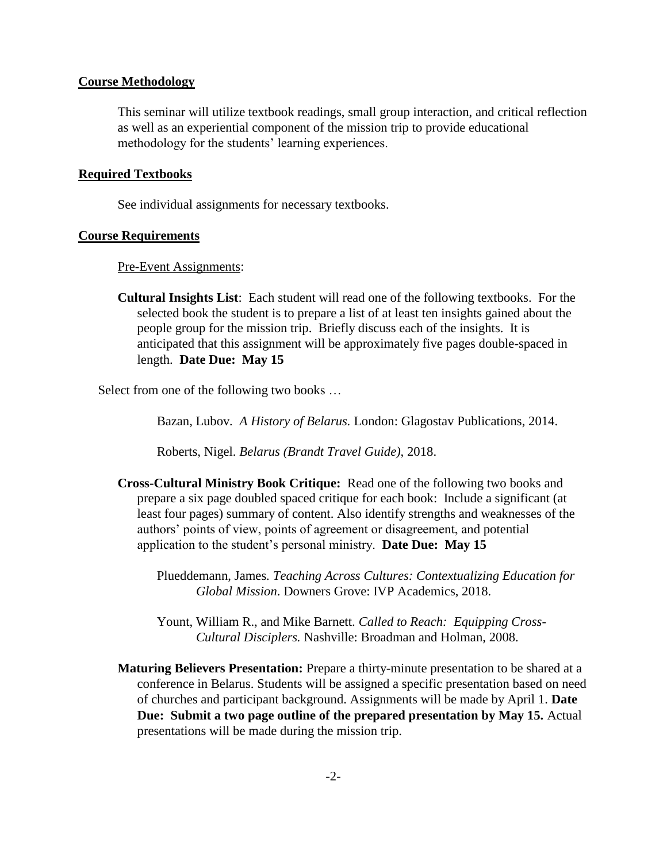#### **Course Methodology**

This seminar will utilize textbook readings, small group interaction, and critical reflection as well as an experiential component of the mission trip to provide educational methodology for the students' learning experiences.

#### **Required Textbooks**

See individual assignments for necessary textbooks.

#### **Course Requirements**

#### Pre-Event Assignments:

**Cultural Insights List**: Each student will read one of the following textbooks. For the selected book the student is to prepare a list of at least ten insights gained about the people group for the mission trip. Briefly discuss each of the insights. It is anticipated that this assignment will be approximately five pages double-spaced in length. **Date Due: May 15**

Select from one of the following two books …

Bazan, Lubov*. A History of Belarus.* London: Glagostav Publications, 2014.

Roberts, Nigel. *Belarus (Brandt Travel Guide)*, 2018.

**Cross-Cultural Ministry Book Critique:** Read one of the following two books and prepare a six page doubled spaced critique for each book: Include a significant (at least four pages) summary of content. Also identify strengths and weaknesses of the authors' points of view, points of agreement or disagreement, and potential application to the student's personal ministry. **Date Due: May 15** 

Plueddemann, James*. Teaching Across Cultures: Contextualizing Education for Global Mission*. Downers Grove: IVP Academics, 2018.

Yount, William R., and Mike Barnett. *Called to Reach: Equipping Cross-Cultural Disciplers.* Nashville: Broadman and Holman, 2008.

**Maturing Believers Presentation:** Prepare a thirty-minute presentation to be shared at a conference in Belarus. Students will be assigned a specific presentation based on need of churches and participant background. Assignments will be made by April 1. **Date Due: Submit a two page outline of the prepared presentation by May 15.** Actual presentations will be made during the mission trip.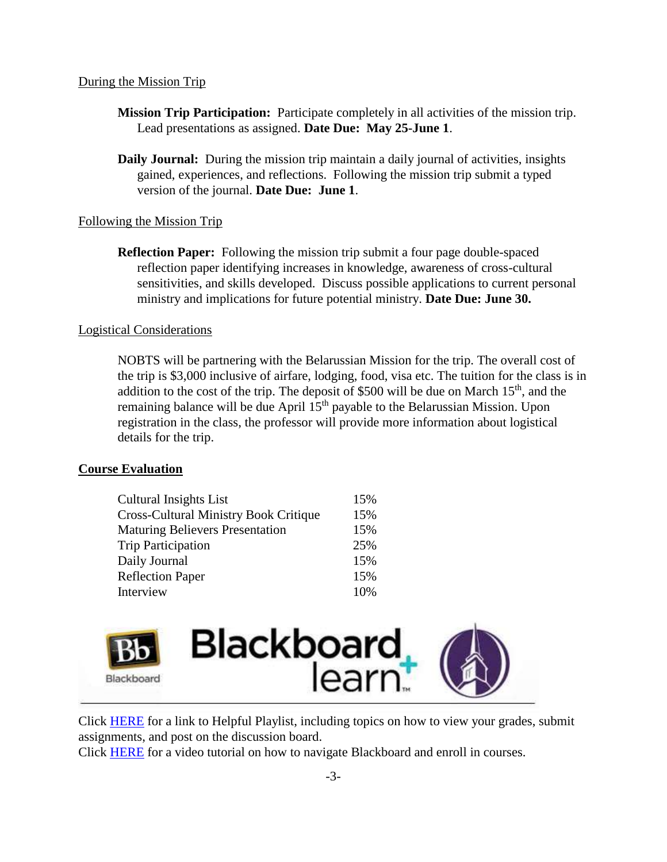## During the Mission Trip

- **Mission Trip Participation:** Participate completely in all activities of the mission trip. Lead presentations as assigned. **Date Due: May 25-June 1**.
- **Daily Journal:** During the mission trip maintain a daily journal of activities, insights gained, experiences, and reflections. Following the mission trip submit a typed version of the journal. **Date Due: June 1**.

# Following the Mission Trip

**Reflection Paper:** Following the mission trip submit a four page double-spaced reflection paper identifying increases in knowledge, awareness of cross-cultural sensitivities, and skills developed. Discuss possible applications to current personal ministry and implications for future potential ministry. **Date Due: June 30.**

## Logistical Considerations

NOBTS will be partnering with the Belarussian Mission for the trip. The overall cost of the trip is \$3,000 inclusive of airfare, lodging, food, visa etc. The tuition for the class is in addition to the cost of the trip. The deposit of \$500 will be due on March  $15<sup>th</sup>$ , and the remaining balance will be due April 15<sup>th</sup> payable to the Belarussian Mission. Upon registration in the class, the professor will provide more information about logistical details for the trip.

# **Course Evaluation**

| <b>Cultural Insights List</b>                | 15% |
|----------------------------------------------|-----|
| <b>Cross-Cultural Ministry Book Critique</b> | 15% |
| <b>Maturing Believers Presentation</b>       | 15% |
| <b>Trip Participation</b>                    | 25% |
| Daily Journal                                | 15% |
| <b>Reflection Paper</b>                      | 15% |
| Interview                                    | 10% |



Click **HERE** for a link to Helpful Playlist, including topics on how to view your grades, submit assignments, and post on the discussion board.

Click [HERE](https://www.youtube.com/watch?v=-vFm_r4iG6A) for a video tutorial on how to navigate Blackboard and enroll in courses.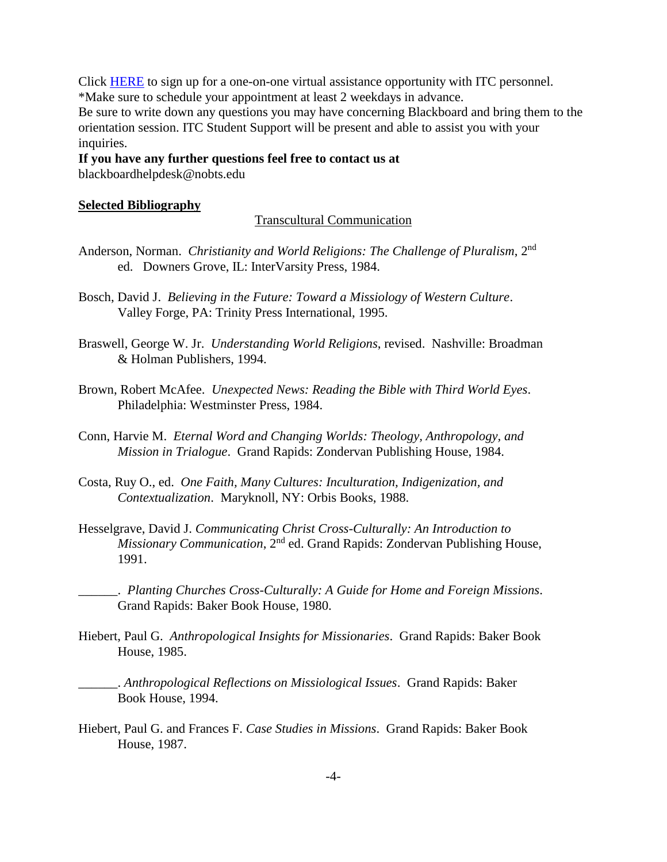Click [HERE](https://docs.google.com/forms/d/1aacdCHQyhsSRj0wRCGNEh-tal8hvFFfaHkSXios8Yk0/viewform) to sign up for a one-on-one virtual assistance opportunity with ITC personnel. \*Make sure to schedule your appointment at least 2 weekdays in advance. Be sure to write down any questions you may have concerning Blackboard and bring them to the orientation session. ITC Student Support will be present and able to assist you with your inquiries.

## **If you have any further questions feel free to contact us at** blackboardhelpdesk@nobts.edu

## **Selected Bibliography**

#### Transcultural Communication

- Anderson, Norman. *Christianity and World Religions: The Challenge of Pluralism*, 2nd ed. Downers Grove, IL: InterVarsity Press, 1984.
- Bosch, David J. *Believing in the Future: Toward a Missiology of Western Culture*. Valley Forge, PA: Trinity Press International, 1995.
- Braswell, George W. Jr. *Understanding World Religions*, revised. Nashville: Broadman & Holman Publishers, 1994.
- Brown, Robert McAfee. *Unexpected News: Reading the Bible with Third World Eyes*. Philadelphia: Westminster Press, 1984.
- Conn, Harvie M. *Eternal Word and Changing Worlds: Theology, Anthropology, and Mission in Trialogue*. Grand Rapids: Zondervan Publishing House, 1984.
- Costa, Ruy O., ed. *One Faith, Many Cultures: Inculturation, Indigenization, and Contextualization*. Maryknoll, NY: Orbis Books, 1988.
- Hesselgrave, David J. *Communicating Christ Cross-Culturally: An Introduction to Missionary Communication*, 2<sup>nd</sup> ed. Grand Rapids: Zondervan Publishing House, 1991.
	- \_\_\_\_\_\_. *Planting Churches Cross-Culturally: A Guide for Home and Foreign Missions*. Grand Rapids: Baker Book House, 1980.
- Hiebert, Paul G. *Anthropological Insights for Missionaries*. Grand Rapids: Baker Book House, 1985.
	- \_\_\_\_\_\_. *Anthropological Reflections on Missiological Issues*. Grand Rapids: Baker Book House, 1994.
- Hiebert, Paul G. and Frances F. *Case Studies in Missions*. Grand Rapids: Baker Book House, 1987.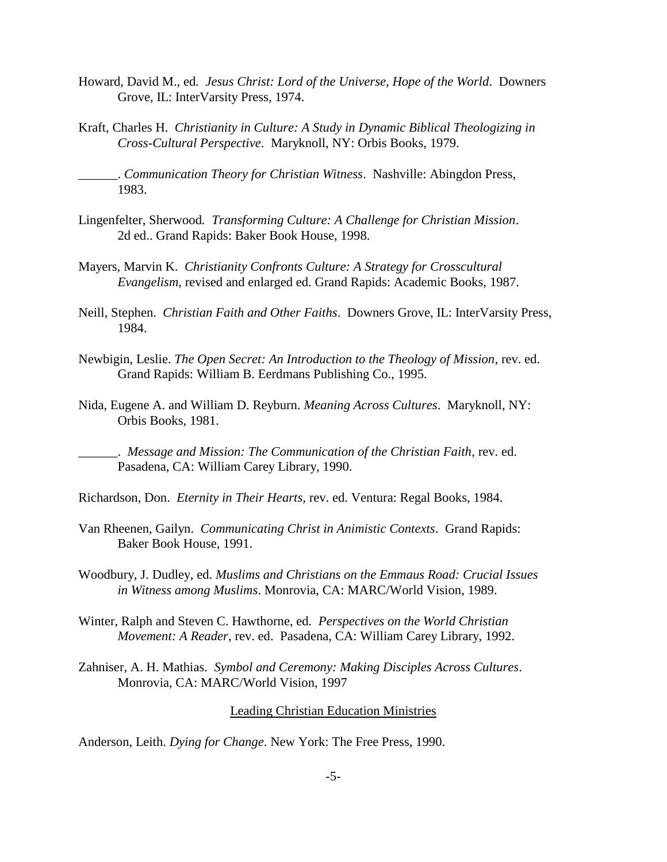- Howard, David M., ed*. Jesus Christ: Lord of the Universe, Hope of the World*. Downers Grove, IL: InterVarsity Press, 1974.
- Kraft, Charles H. *Christianity in Culture: A Study in Dynamic Biblical Theologizing in Cross-Cultural Perspective*. Maryknoll, NY: Orbis Books, 1979.

\_\_\_\_\_\_. *Communication Theory for Christian Witness*. Nashville: Abingdon Press, 1983.

- Lingenfelter, Sherwood*. Transforming Culture: A Challenge for Christian Mission*. 2d ed.. Grand Rapids: Baker Book House, 1998.
- Mayers, Marvin K. *Christianity Confronts Culture: A Strategy for Crosscultural Evangelism*, revised and enlarged ed. Grand Rapids: Academic Books, 1987.
- Neill, Stephen. *Christian Faith and Other Faiths*. Downers Grove, IL: InterVarsity Press, 1984.
- Newbigin, Leslie. *The Open Secret: An Introduction to the Theology of Mission*, rev. ed. Grand Rapids: William B. Eerdmans Publishing Co., 1995.
- Nida, Eugene A. and William D. Reyburn. *Meaning Across Cultures*. Maryknoll, NY: Orbis Books, 1981.

\_\_\_\_\_\_. *Message and Mission: The Communication of the Christian Faith*, rev. ed. Pasadena, CA: William Carey Library, 1990.

Richardson, Don. *Eternity in Their Hearts*, rev. ed. Ventura: Regal Books, 1984.

- Van Rheenen, Gailyn. *Communicating Christ in Animistic Contexts*. Grand Rapids: Baker Book House, 1991.
- Woodbury, J. Dudley, ed. *Muslims and Christians on the Emmaus Road: Crucial Issues in Witness among Muslims*. Monrovia, CA: MARC/World Vision, 1989.
- Winter, Ralph and Steven C. Hawthorne, ed*. Perspectives on the World Christian Movement: A Reader*, rev. ed. Pasadena, CA: William Carey Library, 1992.
- Zahniser, A. H. Mathias. *Symbol and Ceremony: Making Disciples Across Cultures*. Monrovia, CA: MARC/World Vision, 1997

Leading Christian Education Ministries

Anderson, Leith. *Dying for Change*. New York: The Free Press, 1990.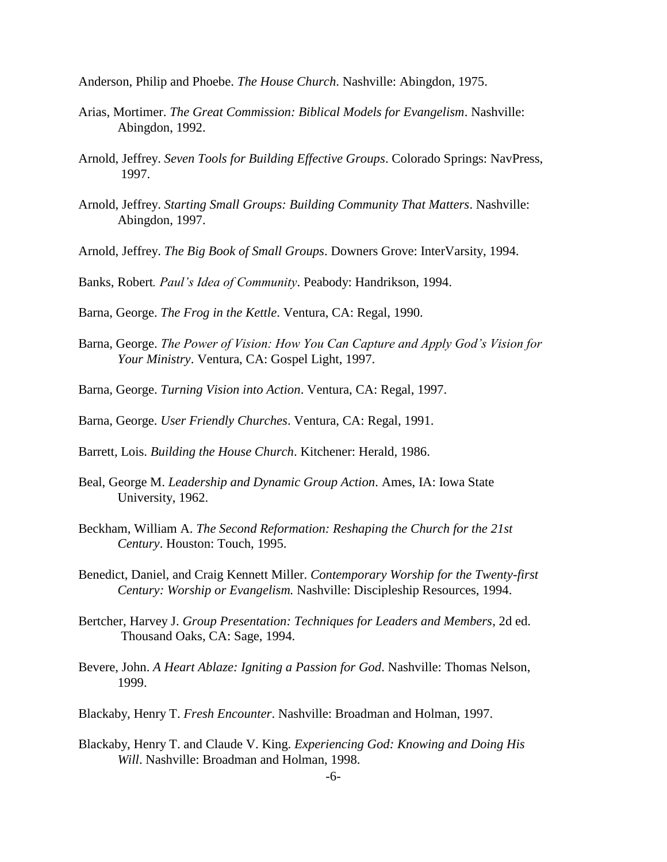Anderson, Philip and Phoebe. *The House Church*. Nashville: Abingdon, 1975.

- Arias, Mortimer. *The Great Commission: Biblical Models for Evangelism*. Nashville: Abingdon, 1992.
- Arnold, Jeffrey. *Seven Tools for Building Effective Groups*. Colorado Springs: NavPress, 1997.
- Arnold, Jeffrey. *Starting Small Groups: Building Community That Matters*. Nashville: Abingdon, 1997.
- Arnold, Jeffrey. *The Big Book of Small Groups*. Downers Grove: InterVarsity, 1994.
- Banks, Robert*. Paul's Idea of Community*. Peabody: Handrikson, 1994.
- Barna, George. *The Frog in the Kettle*. Ventura, CA: Regal, 1990.
- Barna, George. *The Power of Vision: How You Can Capture and Apply God's Vision for Your Ministry*. Ventura, CA: Gospel Light, 1997.
- Barna, George. *Turning Vision into Action*. Ventura, CA: Regal, 1997.
- Barna, George. *User Friendly Churches*. Ventura, CA: Regal, 1991.
- Barrett, Lois. *Building the House Church*. Kitchener: Herald, 1986.
- Beal, George M. *Leadership and Dynamic Group Action*. Ames, IA: Iowa State University, 1962.
- Beckham, William A. *The Second Reformation: Reshaping the Church for the 21st Century*. Houston: Touch, 1995.
- Benedict, Daniel, and Craig Kennett Miller. *Contemporary Worship for the Twenty-first Century: Worship or Evangelism.* Nashville: Discipleship Resources, 1994.
- Bertcher, Harvey J. *Group Presentation: Techniques for Leaders and Members*, 2d ed. Thousand Oaks, CA: Sage, 1994.
- Bevere, John. *A Heart Ablaze: Igniting a Passion for God*. Nashville: Thomas Nelson, 1999.
- Blackaby, Henry T. *Fresh Encounter*. Nashville: Broadman and Holman, 1997.
- Blackaby, Henry T. and Claude V. King. *Experiencing God: Knowing and Doing His Will*. Nashville: Broadman and Holman, 1998.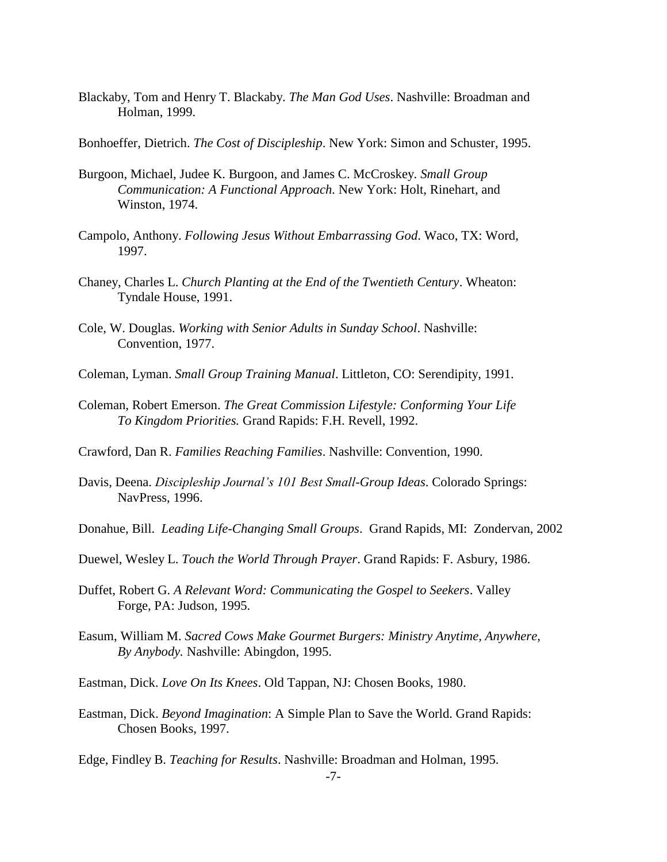Blackaby, Tom and Henry T. Blackaby. *The Man God Uses*. Nashville: Broadman and Holman, 1999.

Bonhoeffer, Dietrich. *The Cost of Discipleship*. New York: Simon and Schuster, 1995.

- Burgoon, Michael, Judee K. Burgoon, and James C. McCroskey. *Small Group Communication: A Functional Approach.* New York: Holt, Rinehart, and Winston, 1974.
- Campolo, Anthony. *Following Jesus Without Embarrassing God*. Waco, TX: Word, 1997.
- Chaney, Charles L. *Church Planting at the End of the Twentieth Century*. Wheaton: Tyndale House, 1991.
- Cole, W. Douglas. *Working with Senior Adults in Sunday School*. Nashville: Convention, 1977.
- Coleman, Lyman. *Small Group Training Manual*. Littleton, CO: Serendipity, 1991.
- Coleman, Robert Emerson. *The Great Commission Lifestyle: Conforming Your Life To Kingdom Priorities.* Grand Rapids: F.H. Revell, 1992.
- Crawford, Dan R. *Families Reaching Families*. Nashville: Convention, 1990.
- Davis, Deena. *Discipleship Journal's 101 Best Small-Group Ideas*. Colorado Springs: NavPress, 1996.
- Donahue, Bill. *Leading Life-Changing Small Groups*. Grand Rapids, MI: Zondervan, 2002
- Duewel, Wesley L. *Touch the World Through Prayer*. Grand Rapids: F. Asbury, 1986.
- Duffet, Robert G. *A Relevant Word: Communicating the Gospel to Seekers*. Valley Forge, PA: Judson, 1995.
- Easum, William M. *Sacred Cows Make Gourmet Burgers: Ministry Anytime, Anywhere, By Anybody.* Nashville: Abingdon, 1995.
- Eastman, Dick. *Love On Its Knees*. Old Tappan, NJ: Chosen Books, 1980.
- Eastman, Dick. *Beyond Imagination*: A Simple Plan to Save the World. Grand Rapids: Chosen Books, 1997.

Edge, Findley B. *Teaching for Results*. Nashville: Broadman and Holman, 1995.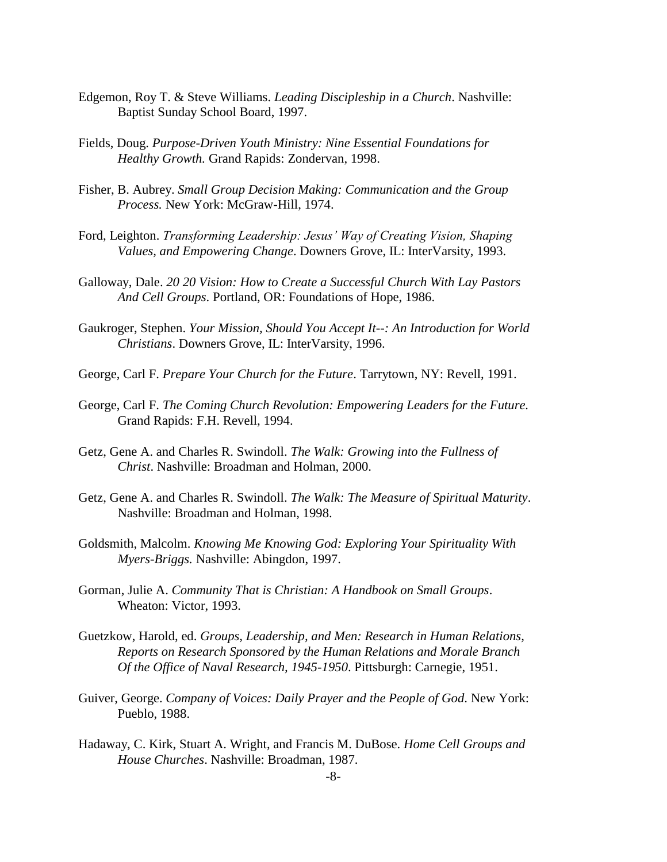- Edgemon, Roy T. & Steve Williams. *Leading Discipleship in a Church*. Nashville: Baptist Sunday School Board, 1997.
- Fields, Doug. *Purpose-Driven Youth Ministry: Nine Essential Foundations for Healthy Growth.* Grand Rapids: Zondervan, 1998.
- Fisher, B. Aubrey. *Small Group Decision Making: Communication and the Group Process.* New York: McGraw-Hill, 1974.
- Ford, Leighton. *Transforming Leadership: Jesus' Way of Creating Vision, Shaping Values, and Empowering Change*. Downers Grove, IL: InterVarsity, 1993.
- Galloway, Dale. *20 20 Vision: How to Create a Successful Church With Lay Pastors And Cell Groups*. Portland, OR: Foundations of Hope, 1986.
- Gaukroger, Stephen. *Your Mission, Should You Accept It--: An Introduction for World Christians*. Downers Grove, IL: InterVarsity, 1996.
- George, Carl F. *Prepare Your Church for the Future*. Tarrytown, NY: Revell, 1991.
- George, Carl F. *The Coming Church Revolution: Empowering Leaders for the Future.* Grand Rapids: F.H. Revell, 1994.
- Getz, Gene A. and Charles R. Swindoll. *The Walk: Growing into the Fullness of Christ*. Nashville: Broadman and Holman, 2000.
- Getz, Gene A. and Charles R. Swindoll. *The Walk: The Measure of Spiritual Maturity*. Nashville: Broadman and Holman, 1998.
- Goldsmith, Malcolm. *Knowing Me Knowing God: Exploring Your Spirituality With Myers-Briggs.* Nashville: Abingdon, 1997.
- Gorman, Julie A. *Community That is Christian: A Handbook on Small Groups*. Wheaton: Victor, 1993.
- Guetzkow, Harold, ed. *Groups, Leadership, and Men: Research in Human Relations, Reports on Research Sponsored by the Human Relations and Morale Branch Of the Office of Naval Research, 1945-1950*. Pittsburgh: Carnegie, 1951.
- Guiver, George. *Company of Voices: Daily Prayer and the People of God*. New York: Pueblo, 1988.
- Hadaway, C. Kirk, Stuart A. Wright, and Francis M. DuBose. *Home Cell Groups and House Churches*. Nashville: Broadman, 1987.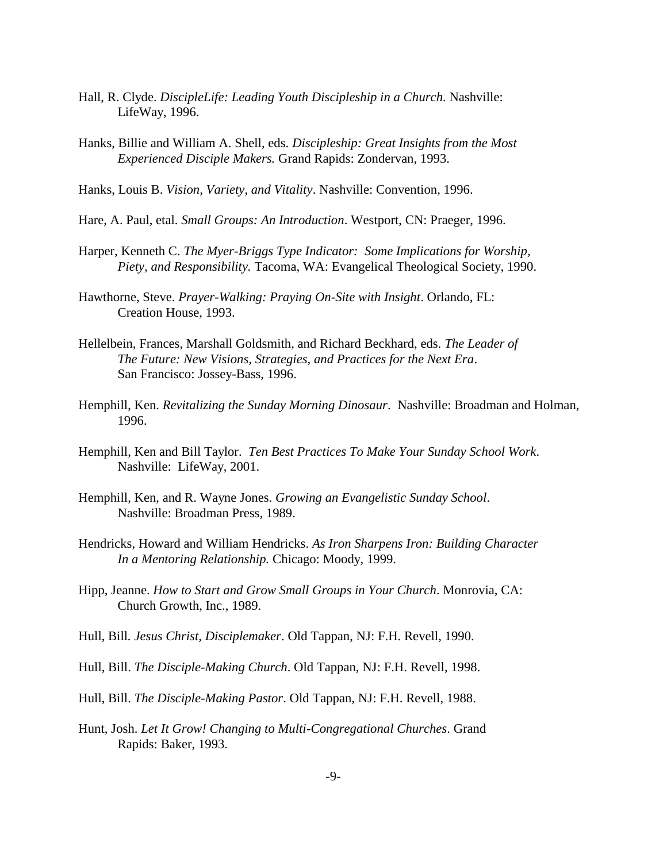- Hall, R. Clyde. *DiscipleLife: Leading Youth Discipleship in a Church*. Nashville: LifeWay, 1996.
- Hanks, Billie and William A. Shell, eds. *Discipleship: Great Insights from the Most Experienced Disciple Makers.* Grand Rapids: Zondervan, 1993.
- Hanks, Louis B. *Vision, Variety, and Vitality*. Nashville: Convention, 1996.
- Hare, A. Paul, etal. *Small Groups: An Introduction*. Westport, CN: Praeger, 1996.
- Harper, Kenneth C. *The Myer-Briggs Type Indicator: Some Implications for Worship, Piety, and Responsibility.* Tacoma, WA: Evangelical Theological Society, 1990.
- Hawthorne, Steve. *Prayer-Walking: Praying On-Site with Insight*. Orlando, FL: Creation House, 1993.
- Hellelbein, Frances, Marshall Goldsmith, and Richard Beckhard, eds. *The Leader of The Future: New Visions, Strategies, and Practices for the Next Era*. San Francisco: Jossey-Bass, 1996.
- Hemphill, Ken. *Revitalizing the Sunday Morning Dinosaur*. Nashville: Broadman and Holman, 1996.
- Hemphill, Ken and Bill Taylor. *Ten Best Practices To Make Your Sunday School Work*. Nashville: LifeWay, 2001.
- Hemphill, Ken, and R. Wayne Jones. *Growing an Evangelistic Sunday School*. Nashville: Broadman Press, 1989.
- Hendricks, Howard and William Hendricks. *As Iron Sharpens Iron: Building Character In a Mentoring Relationship.* Chicago: Moody, 1999.
- Hipp, Jeanne. *How to Start and Grow Small Groups in Your Church*. Monrovia, CA: Church Growth, Inc., 1989.
- Hull, Bill*. Jesus Christ, Disciplemaker*. Old Tappan, NJ: F.H. Revell, 1990.
- Hull, Bill. *The Disciple-Making Church*. Old Tappan, NJ: F.H. Revell, 1998.
- Hull, Bill. *The Disciple-Making Pastor*. Old Tappan, NJ: F.H. Revell, 1988.
- Hunt, Josh. *Let It Grow! Changing to Multi-Congregational Churches*. Grand Rapids: Baker, 1993.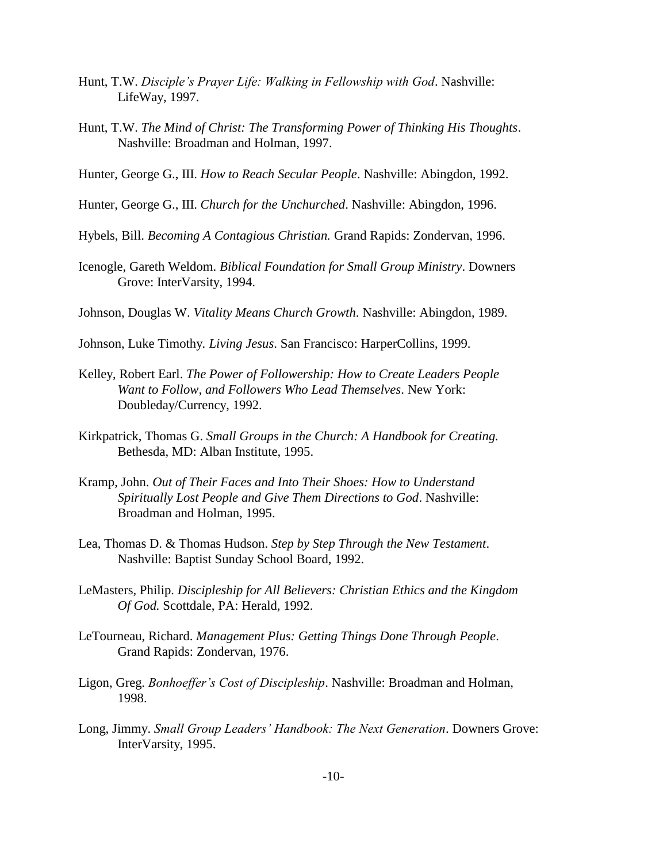- Hunt, T.W. *Disciple's Prayer Life: Walking in Fellowship with God*. Nashville: LifeWay, 1997.
- Hunt, T.W. *The Mind of Christ: The Transforming Power of Thinking His Thoughts*. Nashville: Broadman and Holman, 1997.

Hunter, George G., III. *How to Reach Secular People*. Nashville: Abingdon, 1992.

Hunter, George G., III. *Church for the Unchurched*. Nashville: Abingdon, 1996.

Hybels, Bill. *Becoming A Contagious Christian.* Grand Rapids: Zondervan, 1996.

Icenogle, Gareth Weldom. *Biblical Foundation for Small Group Ministry*. Downers Grove: InterVarsity, 1994.

Johnson, Douglas W. *Vitality Means Church Growth*. Nashville: Abingdon, 1989.

- Johnson, Luke Timothy*. Living Jesus*. San Francisco: HarperCollins, 1999.
- Kelley, Robert Earl. *The Power of Followership: How to Create Leaders People Want to Follow, and Followers Who Lead Themselves*. New York: Doubleday/Currency, 1992.
- Kirkpatrick, Thomas G. *Small Groups in the Church: A Handbook for Creating.* Bethesda, MD: Alban Institute, 1995.
- Kramp, John. *Out of Their Faces and Into Their Shoes: How to Understand Spiritually Lost People and Give Them Directions to God*. Nashville: Broadman and Holman, 1995.
- Lea, Thomas D. & Thomas Hudson. *Step by Step Through the New Testament*. Nashville: Baptist Sunday School Board, 1992.
- LeMasters, Philip. *Discipleship for All Believers: Christian Ethics and the Kingdom Of God.* Scottdale, PA: Herald, 1992.
- LeTourneau, Richard. *Management Plus: Getting Things Done Through People*. Grand Rapids: Zondervan, 1976.
- Ligon, Greg. *Bonhoeffer's Cost of Discipleship*. Nashville: Broadman and Holman, 1998.
- Long, Jimmy. *Small Group Leaders' Handbook: The Next Generation*. Downers Grove: InterVarsity, 1995.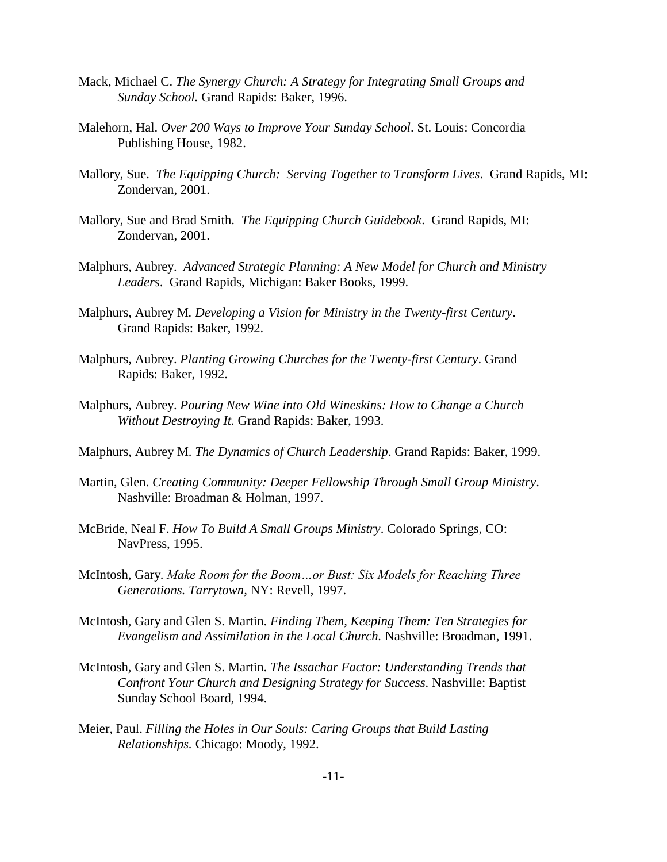- Mack, Michael C. *The Synergy Church: A Strategy for Integrating Small Groups and Sunday School.* Grand Rapids: Baker, 1996.
- Malehorn, Hal. *Over 200 Ways to Improve Your Sunday School*. St. Louis: Concordia Publishing House, 1982.
- Mallory, Sue. *The Equipping Church: Serving Together to Transform Lives*. Grand Rapids, MI: Zondervan, 2001.
- Mallory, Sue and Brad Smith. *The Equipping Church Guidebook*. Grand Rapids, MI: Zondervan, 2001.
- Malphurs, Aubrey. *Advanced Strategic Planning: A New Model for Church and Ministry Leaders*. Grand Rapids, Michigan: Baker Books, 1999.
- Malphurs, Aubrey M*. Developing a Vision for Ministry in the Twenty-first Century*. Grand Rapids: Baker, 1992.
- Malphurs, Aubrey. *Planting Growing Churches for the Twenty-first Century*. Grand Rapids: Baker, 1992.
- Malphurs, Aubrey. *Pouring New Wine into Old Wineskins: How to Change a Church Without Destroying It.* Grand Rapids: Baker, 1993.
- Malphurs, Aubrey M. *The Dynamics of Church Leadership*. Grand Rapids: Baker, 1999.
- Martin, Glen. *Creating Community: Deeper Fellowship Through Small Group Ministry*. Nashville: Broadman & Holman, 1997.
- McBride, Neal F. *How To Build A Small Groups Ministry*. Colorado Springs, CO: NavPress, 1995.
- McIntosh, Gary. *Make Room for the Boom…or Bust: Six Models for Reaching Three Generations. Tarrytown,* NY: Revell, 1997.
- McIntosh, Gary and Glen S. Martin. *Finding Them, Keeping Them: Ten Strategies for Evangelism and Assimilation in the Local Church.* Nashville: Broadman, 1991.
- McIntosh, Gary and Glen S. Martin. *The Issachar Factor: Understanding Trends that Confront Your Church and Designing Strategy for Success*. Nashville: Baptist Sunday School Board, 1994.
- Meier, Paul. *Filling the Holes in Our Souls: Caring Groups that Build Lasting Relationships.* Chicago: Moody, 1992.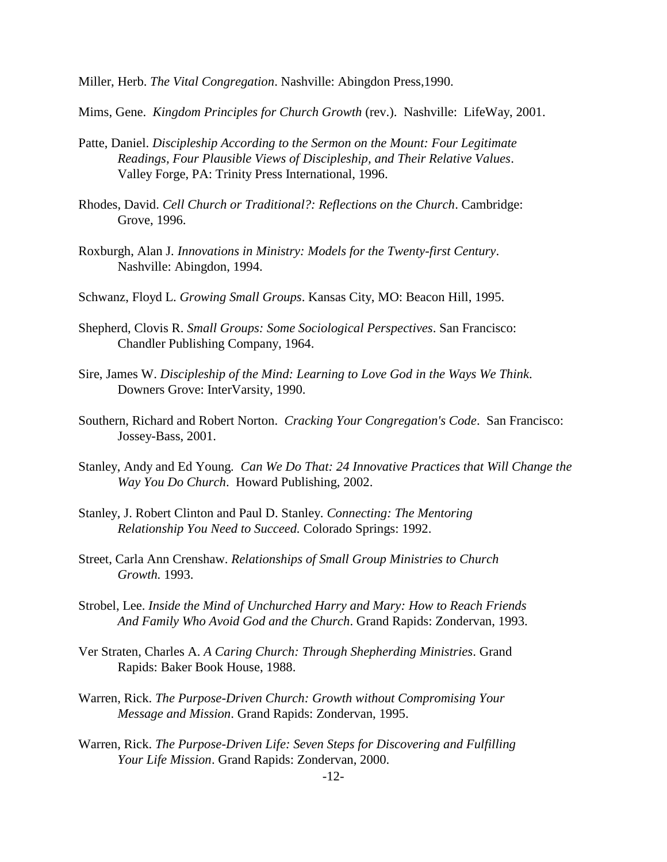Miller, Herb. *The Vital Congregation*. Nashville: Abingdon Press,1990.

Mims, Gene. *Kingdom Principles for Church Growth* (rev.). Nashville: LifeWay, 2001.

- Patte, Daniel. *Discipleship According to the Sermon on the Mount: Four Legitimate Readings, Four Plausible Views of Discipleship, and Their Relative Values*. Valley Forge, PA: Trinity Press International, 1996.
- Rhodes, David. *Cell Church or Traditional?: Reflections on the Church*. Cambridge: Grove, 1996.
- Roxburgh, Alan J*. Innovations in Ministry: Models for the Twenty-first Century*. Nashville: Abingdon, 1994.
- Schwanz, Floyd L. *Growing Small Groups*. Kansas City, MO: Beacon Hill, 1995.
- Shepherd, Clovis R. *Small Groups: Some Sociological Perspectives*. San Francisco: Chandler Publishing Company, 1964.
- Sire, James W. *Discipleship of the Mind: Learning to Love God in the Ways We Think*. Downers Grove: InterVarsity, 1990.
- Southern, Richard and Robert Norton. *Cracking Your Congregation's Code*. San Francisco: Jossey-Bass, 2001.
- Stanley, Andy and Ed Young*. Can We Do That: 24 Innovative Practices that Will Change the Way You Do Church*. Howard Publishing, 2002.
- Stanley, J. Robert Clinton and Paul D. Stanley. *Connecting: The Mentoring Relationship You Need to Succeed.* Colorado Springs: 1992.
- Street, Carla Ann Crenshaw. *Relationships of Small Group Ministries to Church Growth.* 1993.
- Strobel, Lee. *Inside the Mind of Unchurched Harry and Mary: How to Reach Friends And Family Who Avoid God and the Church*. Grand Rapids: Zondervan, 1993.
- Ver Straten, Charles A. *A Caring Church: Through Shepherding Ministries*. Grand Rapids: Baker Book House, 1988.
- Warren, Rick. *The Purpose-Driven Church: Growth without Compromising Your Message and Mission*. Grand Rapids: Zondervan, 1995.
- Warren, Rick. *The Purpose-Driven Life: Seven Steps for Discovering and Fulfilling Your Life Mission*. Grand Rapids: Zondervan, 2000.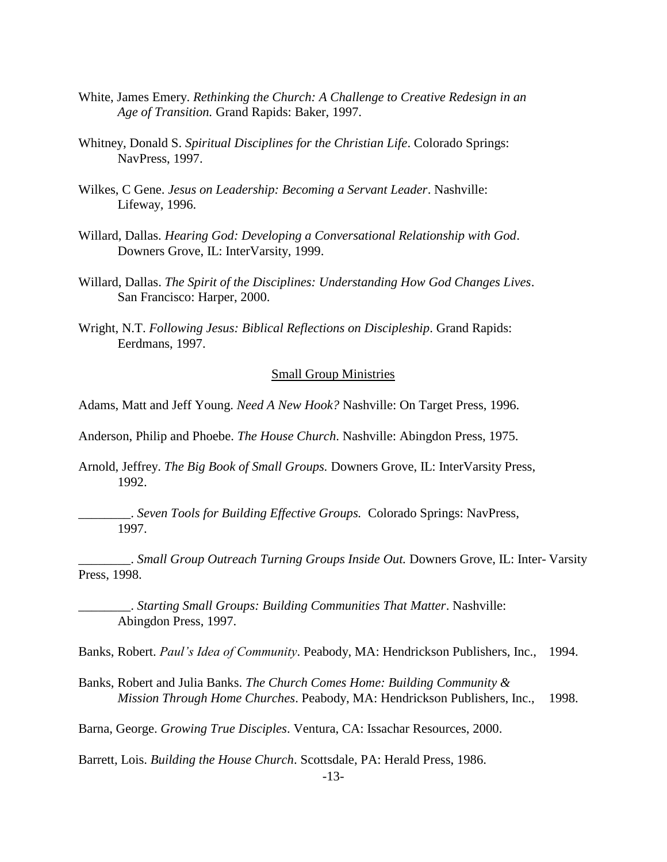- White, James Emery. *Rethinking the Church: A Challenge to Creative Redesign in an Age of Transition.* Grand Rapids: Baker, 1997.
- Whitney, Donald S. *Spiritual Disciplines for the Christian Life*. Colorado Springs: NavPress, 1997.
- Wilkes, C Gene. *Jesus on Leadership: Becoming a Servant Leader*. Nashville: Lifeway, 1996.
- Willard, Dallas. *Hearing God: Developing a Conversational Relationship with God*. Downers Grove, IL: InterVarsity, 1999.
- Willard, Dallas. *The Spirit of the Disciplines: Understanding How God Changes Lives*. San Francisco: Harper, 2000.
- Wright, N.T. *Following Jesus: Biblical Reflections on Discipleship*. Grand Rapids: Eerdmans, 1997.

## Small Group Ministries

Adams, Matt and Jeff Young. *Need A New Hook?* Nashville: On Target Press, 1996.

Anderson, Philip and Phoebe. *The House Church*. Nashville: Abingdon Press, 1975.

Arnold, Jeffrey. *The Big Book of Small Groups.* Downers Grove, IL: InterVarsity Press, 1992.

\_\_\_\_\_\_\_\_. *Seven Tools for Building Effective Groups.* Colorado Springs: NavPress, 1997.

\_\_\_\_\_\_\_\_. *Small Group Outreach Turning Groups Inside Out.* Downers Grove, IL: Inter- Varsity Press, 1998.

\_\_\_\_\_\_\_\_. *Starting Small Groups: Building Communities That Matter*. Nashville: Abingdon Press, 1997.

Banks, Robert. *Paul's Idea of Community*. Peabody, MA: Hendrickson Publishers, Inc., 1994.

Banks, Robert and Julia Banks. *The Church Comes Home: Building Community & Mission Through Home Churches*. Peabody, MA: Hendrickson Publishers, Inc., 1998.

Barna, George. *Growing True Disciples*. Ventura, CA: Issachar Resources, 2000.

Barrett, Lois. *Building the House Church*. Scottsdale, PA: Herald Press, 1986.

-13-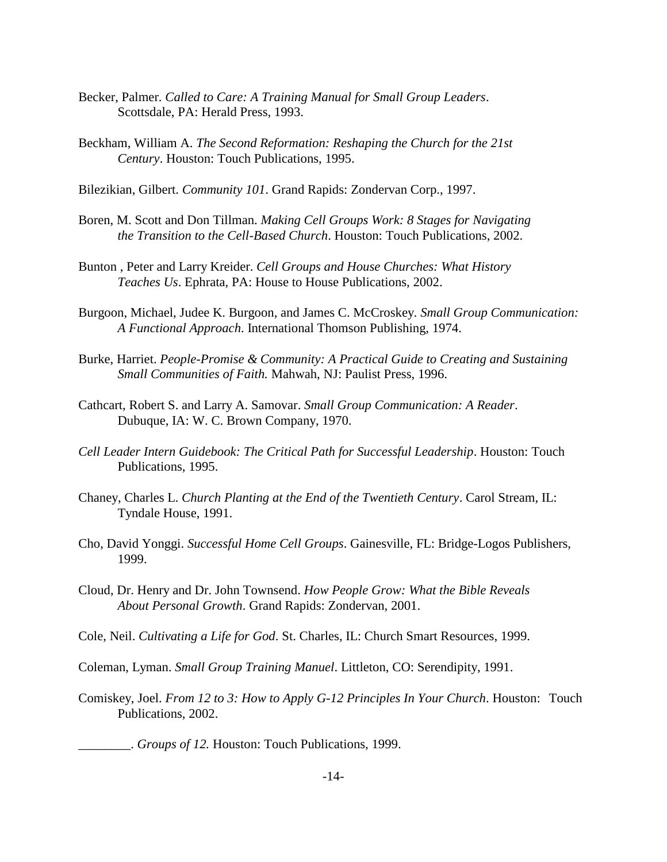- Becker, Palmer. *Called to Care: A Training Manual for Small Group Leaders*. Scottsdale, PA: Herald Press, 1993.
- Beckham, William A. *The Second Reformation: Reshaping the Church for the 21st Century*. Houston: Touch Publications, 1995.
- Bilezikian, Gilbert. *Community 101*. Grand Rapids: Zondervan Corp., 1997.
- Boren, M. Scott and Don Tillman. *Making Cell Groups Work: 8 Stages for Navigating the Transition to the Cell-Based Church*. Houston: Touch Publications, 2002.
- Bunton , Peter and Larry Kreider. *Cell Groups and House Churches: What History Teaches Us*. Ephrata, PA: House to House Publications, 2002.
- Burgoon, Michael, Judee K. Burgoon, and James C. McCroskey. *Small Group Communication: A Functional Approach*. International Thomson Publishing, 1974.
- Burke, Harriet. *People-Promise & Community: A Practical Guide to Creating and Sustaining Small Communities of Faith.* Mahwah, NJ: Paulist Press, 1996.
- Cathcart, Robert S. and Larry A. Samovar. *Small Group Communication: A Reader*. Dubuque, IA: W. C. Brown Company, 1970.
- *Cell Leader Intern Guidebook: The Critical Path for Successful Leadership*. Houston: Touch Publications, 1995.
- Chaney, Charles L. *Church Planting at the End of the Twentieth Century*. Carol Stream, IL: Tyndale House, 1991.
- Cho, David Yonggi. *Successful Home Cell Groups*. Gainesville, FL: Bridge-Logos Publishers, 1999.
- Cloud, Dr. Henry and Dr. John Townsend. *How People Grow: What the Bible Reveals About Personal Growth*. Grand Rapids: Zondervan, 2001.
- Cole, Neil. *Cultivating a Life for God*. St. Charles, IL: Church Smart Resources, 1999.
- Coleman, Lyman. *Small Group Training Manuel*. Littleton, CO: Serendipity, 1991.
- Comiskey, Joel. *From 12 to 3: How to Apply G-12 Principles In Your Church*. Houston: Touch Publications, 2002.

\_\_\_\_\_\_\_\_. *Groups of 12.* Houston: Touch Publications, 1999.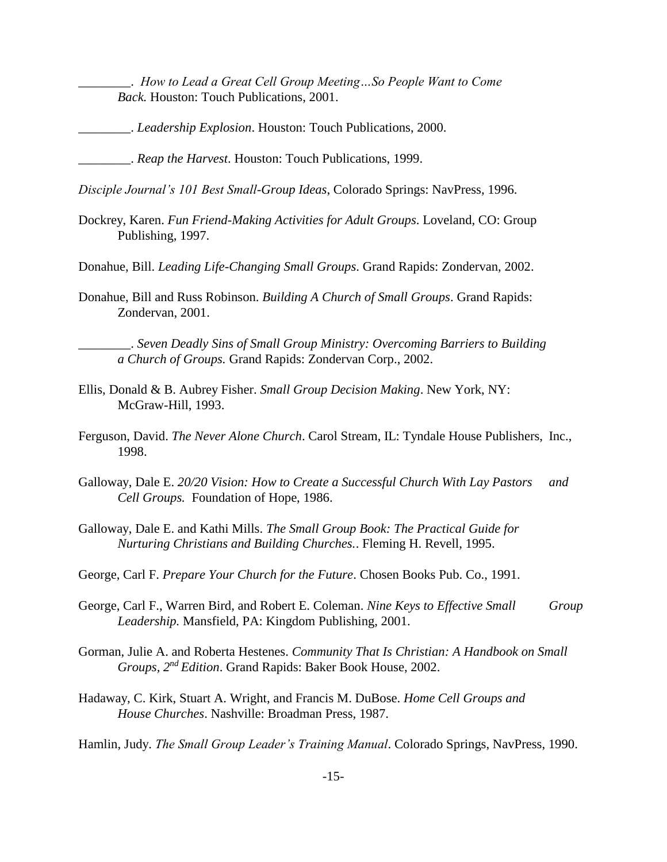\_\_\_\_\_\_\_\_. *How to Lead a Great Cell Group Meeting…So People Want to Come Back.* Houston: Touch Publications, 2001.

\_\_\_\_\_\_\_\_. *Leadership Explosion*. Houston: Touch Publications, 2000.

\_\_\_\_\_\_\_\_. *Reap the Harvest*. Houston: Touch Publications, 1999.

*Disciple Journal's 101 Best Small-Group Ideas*, Colorado Springs: NavPress, 1996.

Dockrey, Karen. *Fun Friend-Making Activities for Adult Groups*. Loveland, CO: Group Publishing, 1997.

Donahue, Bill. *Leading Life-Changing Small Groups*. Grand Rapids: Zondervan, 2002.

Donahue, Bill and Russ Robinson. *Building A Church of Small Groups*. Grand Rapids: Zondervan, 2001.

\_\_\_\_\_\_\_\_. *Seven Deadly Sins of Small Group Ministry: Overcoming Barriers to Building a Church of Groups.* Grand Rapids: Zondervan Corp., 2002.

- Ellis, Donald & B. Aubrey Fisher. *Small Group Decision Making*. New York, NY: McGraw-Hill, 1993.
- Ferguson, David. *The Never Alone Church*. Carol Stream, IL: Tyndale House Publishers, Inc., 1998.
- Galloway, Dale E. *20/20 Vision: How to Create a Successful Church With Lay Pastors and Cell Groups.* Foundation of Hope, 1986.
- Galloway, Dale E. and Kathi Mills. *The Small Group Book: The Practical Guide for Nurturing Christians and Building Churches.*. Fleming H. Revell, 1995.
- George, Carl F. *Prepare Your Church for the Future*. Chosen Books Pub. Co., 1991.
- George, Carl F., Warren Bird, and Robert E. Coleman. *Nine Keys to Effective Small Group Leadership.* Mansfield, PA: Kingdom Publishing, 2001.
- Gorman, Julie A. and Roberta Hestenes. *Community That Is Christian: A Handbook on Small Groups, 2nd Edition*. Grand Rapids: Baker Book House, 2002.
- Hadaway, C. Kirk, Stuart A. Wright, and Francis M. DuBose. *Home Cell Groups and House Churches*. Nashville: Broadman Press, 1987.

Hamlin, Judy. *The Small Group Leader's Training Manual*. Colorado Springs, NavPress, 1990.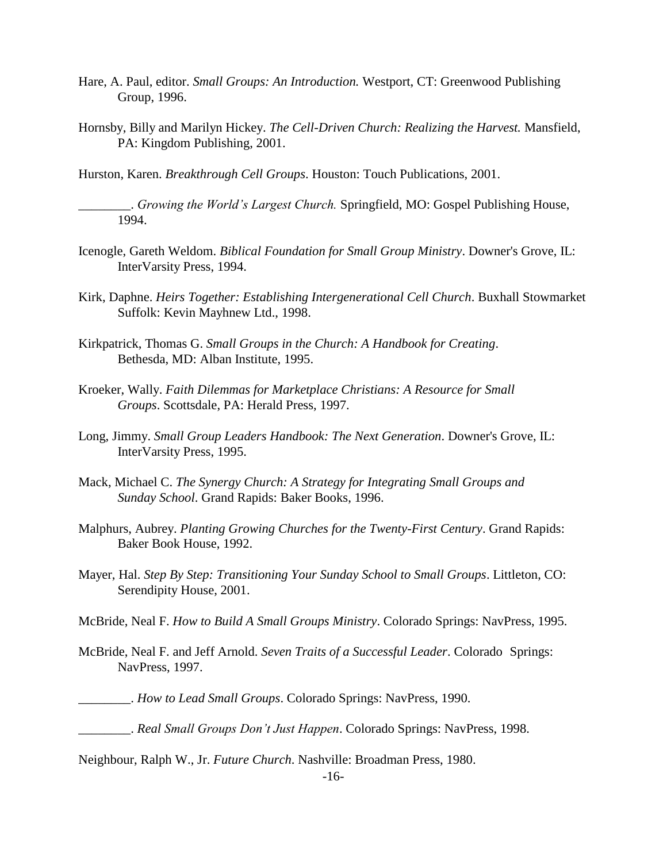- Hare, A. Paul, editor. *Small Groups: An Introduction.* Westport, CT: Greenwood Publishing Group, 1996.
- Hornsby, Billy and Marilyn Hickey. *The Cell-Driven Church: Realizing the Harvest.* Mansfield, PA: Kingdom Publishing, 2001.

Hurston, Karen. *Breakthrough Cell Groups*. Houston: Touch Publications, 2001.

\_\_\_\_\_\_\_\_. *Growing the World's Largest Church.* Springfield, MO: Gospel Publishing House, 1994.

- Icenogle, Gareth Weldom. *Biblical Foundation for Small Group Ministry*. Downer's Grove, IL: InterVarsity Press, 1994.
- Kirk, Daphne. *Heirs Together: Establishing Intergenerational Cell Church*. Buxhall Stowmarket Suffolk: Kevin Mayhnew Ltd., 1998.
- Kirkpatrick, Thomas G. *Small Groups in the Church: A Handbook for Creating*. Bethesda, MD: Alban Institute, 1995.
- Kroeker, Wally. *Faith Dilemmas for Marketplace Christians: A Resource for Small Groups*. Scottsdale, PA: Herald Press, 1997.
- Long, Jimmy. *Small Group Leaders Handbook: The Next Generation*. Downer's Grove, IL: InterVarsity Press, 1995.
- Mack, Michael C. *The Synergy Church: A Strategy for Integrating Small Groups and Sunday School*. Grand Rapids: Baker Books, 1996.
- Malphurs, Aubrey. *Planting Growing Churches for the Twenty-First Century*. Grand Rapids: Baker Book House, 1992.
- Mayer, Hal. *Step By Step: Transitioning Your Sunday School to Small Groups*. Littleton, CO: Serendipity House, 2001.
- McBride, Neal F. *How to Build A Small Groups Ministry*. Colorado Springs: NavPress, 1995.
- McBride, Neal F. and Jeff Arnold. *Seven Traits of a Successful Leader*. Colorado Springs: NavPress, 1997.
	- \_\_\_\_\_\_\_\_. *How to Lead Small Groups*. Colorado Springs: NavPress, 1990.
	- \_\_\_\_\_\_\_\_. *Real Small Groups Don't Just Happen*. Colorado Springs: NavPress, 1998.
- Neighbour, Ralph W., Jr. *Future Church*. Nashville: Broadman Press, 1980.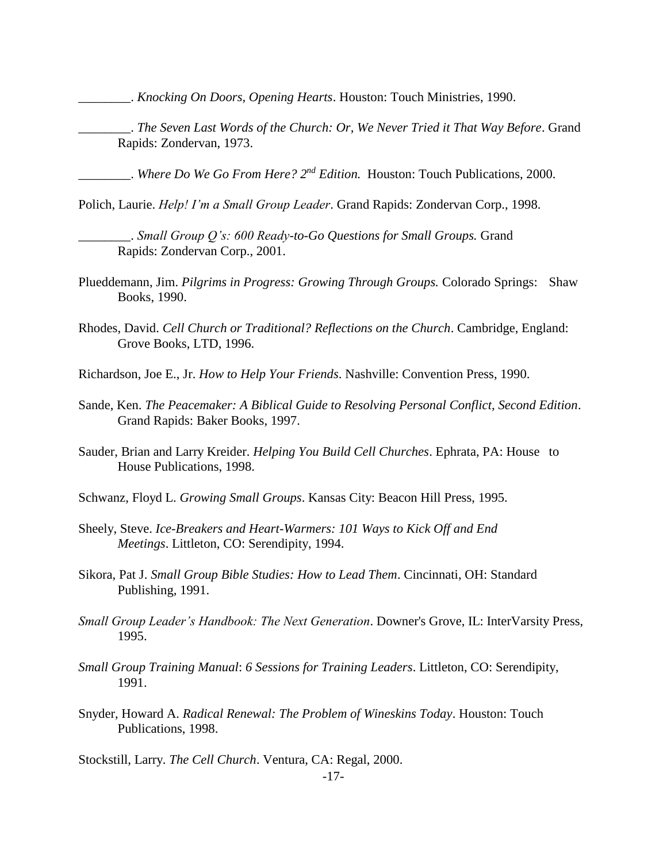\_\_\_\_\_\_\_\_. *Knocking On Doors, Opening Hearts*. Houston: Touch Ministries, 1990.

\_\_\_\_\_\_\_\_. *The Seven Last Words of the Church: Or, We Never Tried it That Way Before*. Grand Rapids: Zondervan, 1973.

\_\_\_\_\_\_\_\_. *Where Do We Go From Here? 2nd Edition.* Houston: Touch Publications, 2000.

Polich, Laurie. *Help! I'm a Small Group Leader*. Grand Rapids: Zondervan Corp., 1998.

- \_\_\_\_\_\_\_\_. *Small Group Q's: 600 Ready-to-Go Questions for Small Groups.* Grand Rapids: Zondervan Corp., 2001.
- Plueddemann, Jim. *Pilgrims in Progress: Growing Through Groups.* Colorado Springs: Shaw Books, 1990.
- Rhodes, David. *Cell Church or Traditional? Reflections on the Church*. Cambridge, England: Grove Books, LTD, 1996.
- Richardson, Joe E., Jr. *How to Help Your Friends*. Nashville: Convention Press, 1990.
- Sande, Ken. *The Peacemaker: A Biblical Guide to Resolving Personal Conflict, Second Edition*. Grand Rapids: Baker Books, 1997.
- Sauder, Brian and Larry Kreider. *Helping You Build Cell Churches*. Ephrata, PA: House to House Publications, 1998.
- Schwanz, Floyd L. *Growing Small Groups*. Kansas City: Beacon Hill Press, 1995.
- Sheely, Steve. *Ice-Breakers and Heart-Warmers: 101 Ways to Kick Off and End Meetings*. Littleton, CO: Serendipity, 1994.
- Sikora, Pat J. *Small Group Bible Studies: How to Lead Them*. Cincinnati, OH: Standard Publishing, 1991.
- *Small Group Leader's Handbook: The Next Generation*. Downer's Grove, IL: InterVarsity Press, 1995.
- *Small Group Training Manual*: *6 Sessions for Training Leaders*. Littleton, CO: Serendipity, 1991.
- Snyder, Howard A. *Radical Renewal: The Problem of Wineskins Today*. Houston: Touch Publications, 1998.

Stockstill, Larry. *The Cell Church*. Ventura, CA: Regal, 2000.